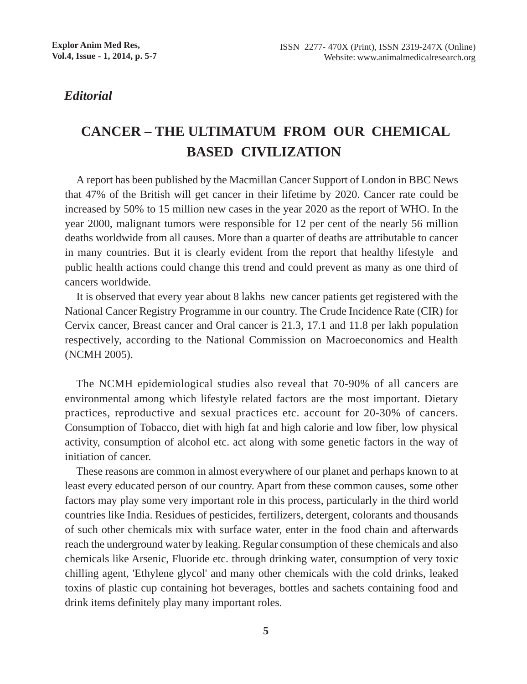## *Editorial*

## **CANCER – THE ULTIMATUM FROM OUR CHEMICAL BASED CIVILIZATION**

A report has been published by the Macmillan Cancer Support of London in BBC News that 47% of the British will get cancer in their lifetime by 2020. Cancer rate could be increased by 50% to 15 million new cases in the year 2020 as the report of WHO. In the year 2000, malignant tumors were responsible for 12 per cent of the nearly 56 million deaths worldwide from all causes. More than a quarter of deaths are attributable to cancer in many countries. But it is clearly evident from the report that healthy lifestyle and public health actions could change this trend and could prevent as many as one third of cancers worldwide.

It is observed that every year about 8 lakhs new cancer patients get registered with the National Cancer Registry Programme in our country. The Crude Incidence Rate (CIR) for Cervix cancer, Breast cancer and Oral cancer is 21.3, 17.1 and 11.8 per lakh population respectively, according to the National Commission on Macroeconomics and Health (NCMH 2005).

The NCMH epidemiological studies also reveal that 70-90% of all cancers are environmental among which lifestyle related factors are the most important. Dietary practices, reproductive and sexual practices etc. account for 20-30% of cancers. Consumption of Tobacco, diet with high fat and high calorie and low fiber, low physical activity, consumption of alcohol etc. act along with some genetic factors in the way of initiation of cancer.

These reasons are common in almost everywhere of our planet and perhaps known to at least every educated person of our country. Apart from these common causes, some other factors may play some very important role in this process, particularly in the third world countries like India. Residues of pesticides, fertilizers, detergent, colorants and thousands of such other chemicals mix with surface water, enter in the food chain and afterwards reach the underground water by leaking. Regular consumption of these chemicals and also chemicals like Arsenic, Fluoride etc. through drinking water, consumption of very toxic chilling agent, 'Ethylene glycol' and many other chemicals with the cold drinks, leaked toxins of plastic cup containing hot beverages, bottles and sachets containing food and drink items definitely play many important roles.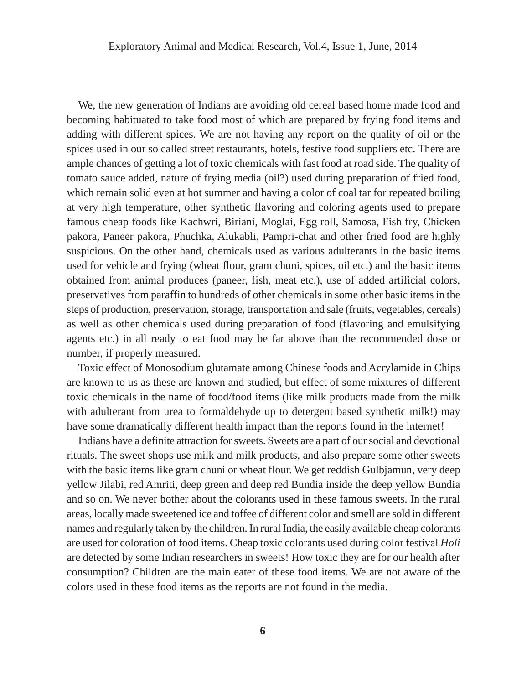We, the new generation of Indians are avoiding old cereal based home made food and becoming habituated to take food most of which are prepared by frying food items and adding with different spices. We are not having any report on the quality of oil or the spices used in our so called street restaurants, hotels, festive food suppliers etc. There are ample chances of getting a lot of toxic chemicals with fast food at road side. The quality of tomato sauce added, nature of frying media (oil?) used during preparation of fried food, which remain solid even at hot summer and having a color of coal tar for repeated boiling at very high temperature, other synthetic flavoring and coloring agents used to prepare famous cheap foods like Kachwri, Biriani, Moglai, Egg roll, Samosa, Fish fry, Chicken pakora, Paneer pakora, Phuchka, Alukabli, Pampri-chat and other fried food are highly suspicious. On the other hand, chemicals used as various adulterants in the basic items used for vehicle and frying (wheat flour, gram chuni, spices, oil etc.) and the basic items obtained from animal produces (paneer, fish, meat etc.), use of added artificial colors, preservatives from paraffin to hundreds of other chemicals in some other basic items in the steps of production, preservation, storage, transportation and sale (fruits, vegetables, cereals) as well as other chemicals used during preparation of food (flavoring and emulsifying agents etc.) in all ready to eat food may be far above than the recommended dose or number, if properly measured.

Toxic effect of Monosodium glutamate among Chinese foods and Acrylamide in Chips are known to us as these are known and studied, but effect of some mixtures of different toxic chemicals in the name of food/food items (like milk products made from the milk with adulterant from urea to formaldehyde up to detergent based synthetic milk!) may have some dramatically different health impact than the reports found in the internet!

Indians have a definite attraction for sweets. Sweets are a part of our social and devotional rituals. The sweet shops use milk and milk products, and also prepare some other sweets with the basic items like gram chuni or wheat flour. We get reddish Gulbjamun, very deep yellow Jilabi, red Amriti, deep green and deep red Bundia inside the deep yellow Bundia and so on. We never bother about the colorants used in these famous sweets. In the rural areas, locally made sweetened ice and toffee of different color and smell are sold in different names and regularly taken by the children. In rural India, the easily available cheap colorants are used for coloration of food items. Cheap toxic colorants used during color festival *Holi* are detected by some Indian researchers in sweets! How toxic they are for our health after consumption? Children are the main eater of these food items. We are not aware of the colors used in these food items as the reports are not found in the media.